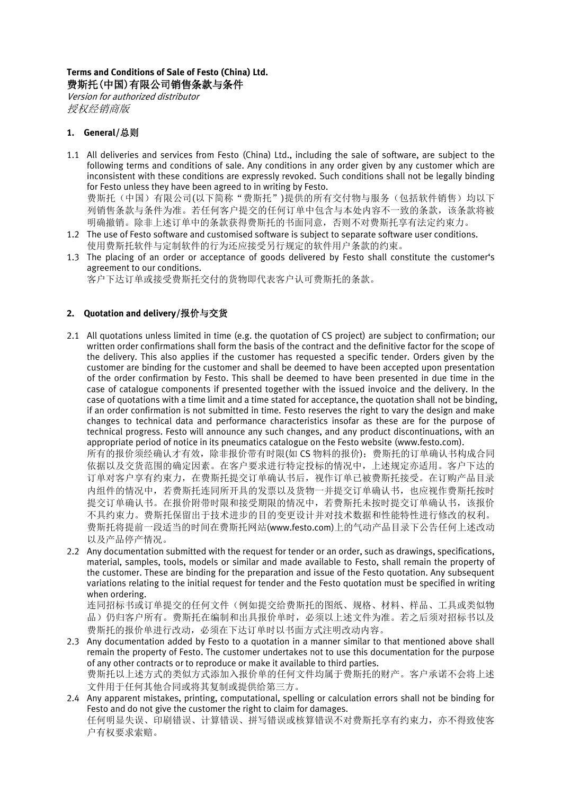# **Terms and Conditions of Sale of Festo (China) Ltd.** 费斯托(中国)有限公司销售条款与条件

Version for authorized distributor 授权经销商版

# **1. General/**总则

1.1 All deliveries and services from Festo (China) Ltd., including the sale of software, are subject to the following terms and conditions of sale. Any conditions in any order given by any customer which are inconsistent with these conditions are expressly revoked. Such conditions shall not be legally binding for Festo unless they have been agreed to in writing by Festo. 费斯托(中国)有限公司(以下简称"费斯托")提供的所有交付物与服务(包括软件销售)均以下

列销售条款与条件为准。若任何客户提交的任何订单中包含与本处内容不一致的条款,该条款将被 明确撤销。除非上述订单中的条款获得费斯托的书面同意,否则不对费斯托享有法定约束力。

- 1.2 The use of Festo software and customised software is subject to separate software user conditions. 使用费斯托软件与定制软件的行为还应接受另行规定的软件用户条款的约束。
- 1.3 The placing of an order or acceptance of goods delivered by Festo shall constitute the customer's agreement to our conditions.
	- 客户下达订单或接受费斯托交付的货物即代表客户认可费斯托的条款。

# **2. Quotation and delivery/**报价与交货

2.1 All quotations unless limited in time (e.g. the quotation of CS project) are subject to confirmation; our written order confirmations shall form the basis of the contract and the definitive factor for the scope of the delivery. This also applies if the customer has requested a specific tender. Orders given by the customer are binding for the customer and shall be deemed to have been accepted upon presentation of the order confirmation by Festo. This shall be deemed to have been presented in due time in the case of catalogue components if presented together with the issued invoice and the delivery. In the case of quotations with a time limit and a time stated for acceptance, the quotation shall not be binding, if an order confirmation is not submitted in time. Festo reserves the right to vary the design and make changes to technical data and performance characteristics insofar as these are for the purpose of technical progress. Festo will announce any such changes, and any product discontinuations, with an appropriate period of notice in its pneumatics catalogue on the Festo website (www.festo.com).

所有的报价须经确认才有效,除非报价带有时限(如 CS 物料的报价);费斯托的订单确认书构成合同 依据以及交货范围的确定因素。在客户要求进行特定投标的情况中,上述规定亦适用。客户下达的 订单对客户享有约束力,在费斯托提交订单确认书后,视作订单已被费斯托接受。在订购产品目录 内组件的情况中,若费斯托连同所开具的发票以及货物一并提交订单确认书,也应视作费斯托按时 提交订单确认书。在报价附带时限和接受期限的情况中,若费斯托未按时提交订单确认书,该报价 不具约束力。费斯托保留出于技术进步的目的变更设计并对技术数据和性能特性进行修改的权利。 费斯托将提前一段适当的时间在费斯托网站[\(www.festo.com\)](http://www.festo.com/)上的气动产品目录下公告任何上述改动 以及产品停产情况。

2.2 Any documentation submitted with the request for tender or an order, such as drawings, specifications, material, samples, tools, models or similar and made available to Festo, shall remain the property of the customer. These are binding for the preparation and issue of the Festo quotation. Any subsequent variations relating to the initial request for tender and the Festo quotation must be specified in writing when ordering.

连同招标书或订单提交的任何文件(例如提交给费斯托的图纸、规格、材料、样品、工具或类似物 品)仍归客户所有。费斯托在编制和出具报价单时,必须以上述文件为准。若之后须对招标书以及 费斯托的报价单进行改动,必须在下达订单时以书面方式注明改动内容。

- 2.3 Any documentation added by Festo to a quotation in a manner similar to that mentioned above shall remain the property of Festo. The customer undertakes not to use this documentation for the purpose of any other contracts or to reproduce or make it available to third parties. 费斯托以上述方式的类似方式添加入报价单的任何文件均属于费斯托的财产。客户承诺不会将上述 文件用于任何其他合同或将其复制或提供给第三方。
- 2.4 Any apparent mistakes, printing, computational, spelling or calculation errors shall not be binding for Festo and do not give the customer the right to claim for damages. 任何明显失误、印刷错误、计算错误、拼写错误或核算错误不对费斯托享有约束力,亦不得致使客 户有权要求索赔。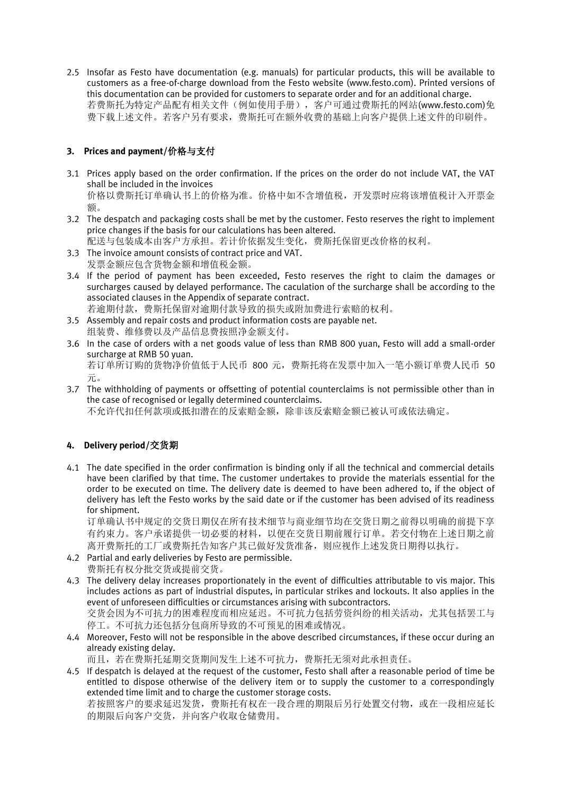2.5 Insofar as Festo have documentation (e.g. manuals) for particular products, this will be available to customers as a free-of-charge download from the Festo website (www.festo.com). Printed versions of this documentation can be provided for customers to separate order and for an additional charge. 若费斯托为特定产品配有相关文件(例如使用手册), 客户可通过费斯托的网站[\(www.festo.com\)](http://www.festo.com/)免 费下载上述文件。若客户另有要求,费斯托可在额外收费的基础上向客户提供上述文件的印刷件。

# **3. Prices and payment/**价格与支付

- 3.1 Prices apply based on the order confirmation. If the prices on the order do not include VAT, the VAT shall be included in the invoices 价格以费斯托订单确认书上的价格为准。价格中如不含增值税,开发票时应将该增值税计入开票金 额。
- 3.2 The despatch and packaging costs shall be met by the customer. Festo reserves the right to implement price changes if the basis for our calculations has been altered.

配送与包装成本由客户方承担。若计价依据发生变化,费斯托保留更改价格的权利。

- 3.3 The invoice amount consists of contract price and VAT. 发票金额应包含货物金额和增值税金额。
- 3.4 If the period of payment has been exceeded, Festo reserves the right to claim the damages or surcharges caused by delayed performance. The caculation of the surcharge shall be according to the associated clauses in the Appendix of separate contract. 若逾期付款,费斯托保留对逾期付款导致的损失或附加费进行索赔的权利。
- 3.5 Assembly and repair costs and product information costs are payable net. 组装费、维修费以及产品信息费按照净金额支付。
- 3.6 In the case of orders with a net goods value of less than RMB 800 yuan, Festo will add a small-order surcharge at RMB 50 yuan. 若订单所订购的货物净价值低于人民币 800 元,费斯托将在发票中加入一笔小额订单费人民币 50 元。
- 3.7 The withholding of payments or offsetting of potential counterclaims is not permissible other than in the case of recognised or legally determined counterclaims.

不允许代扣任何款项或抵扣潜在的反索赔金额,除非该反索赔金额已被认可或依法确定。

## **4. Delivery period/**交货期

4.1 The date specified in the order confirmation is binding only if all the technical and commercial details have been clarified by that time. The customer undertakes to provide the materials essential for the order to be executed on time. The delivery date is deemed to have been adhered to, if the object of delivery has left the Festo works by the said date or if the customer has been advised of its readiness for shipment.

订单确认书中规定的交货日期仅在所有技术细节与商业细节均在交货日期之前得以明确的前提下享 有约束力。客户承诺提供一切必要的材料,以便在交货日期前履行订单。若交付物在上述日期之前 离开费斯托的工厂或费斯托告知客户其已做好发货准备,则应视作上述发货日期得以执行。

4.2 Partial and early deliveries by Festo are permissible.

费斯托有权分批交货或提前交货。

4.3 The delivery delay increases proportionately in the event of difficulties attributable to vis major. This includes actions as part of industrial disputes, in particular strikes and lockouts. It also applies in the event of unforeseen difficulties or circumstances arising with subcontractors.

交货会因为不可抗力的困难程度而相应延迟。不可抗力包括劳资纠纷的相关活动,尤其包括罢工与 停工。不可抗力还包括分包商所导致的不可预见的困难或情况。

4.4 Moreover, Festo will not be responsible in the above described circumstances, if these occur during an already existing delay.

而且,若在费斯托延期交货期间发生上述不可抗力,费斯托无须对此承担责任。

4.5 If despatch is delayed at the request of the customer, Festo shall after a reasonable period of time be entitled to dispose otherwise of the delivery item or to supply the customer to a correspondingly extended time limit and to charge the customer storage costs.

若按照客户的要求延迟发货,费斯托有权在一段合理的期限后另行处置交付物,或在一段相应延长 的期限后向客户交货,并向客户收取仓储费用。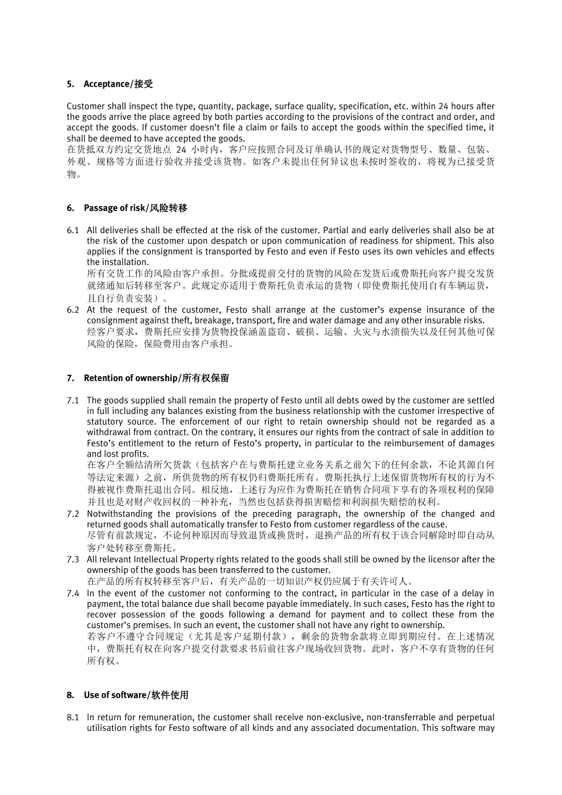# **5. Acceptance/**接受

Customer shall inspect the type, quantity, package, surface quality, specification, etc. within 24 hours after the goods arrive the place agreed by both parties according to the provisions of the contract and order, and accept the goods. If customer doesn't file a claim or fails to accept the goods within the specified time, it shall be deemed to have accepted the goods.

在货抵双方约定交货地点 24 小时内,客户应按照合同及订单确认书的规定对货物型号、数量、包装、 外观、规格等方面进行验收并接受该货物。如客户未提出任何异议也未按时签收的,将视为已接受货 物。

# **6. Passage of risk/**风险转移

6.1 All deliveries shall be effected at the risk of the customer. Partial and early deliveries shall also be at the risk of the customer upon despatch or upon communication of readiness for shipment. This also applies if the consignment is transported by Festo and even if Festo uses its own vehicles and effects the installation.

所有交货工作的风险由客户承担。分批或提前交付的货物的风险在发货后或费斯托向客户提交发货 就绪通知后转移至客户。此规定亦适用于费斯托负责承运的货物(即使费斯托使用自有车辆运货, 且自行负责安装)。

6.2 At the request of the customer, Festo shall arrange at the customer's expense insurance of the consignment against theft, breakage, transport, fire and water damage and any other insurable risks. 经客户要求,费斯托应安排为货物投保涵盖盗窃、破损、运输、火灾与水渍损失以及任何其他可保 风险的保险,保险费用由客户承担。

## **7. Retention of ownership/**所有权保留

7.1 The goods supplied shall remain the property of Festo until all debts owed by the customer are settled in full including any balances existing from the business relationship with the customer irrespective of statutory source. The enforcement of our right to retain ownership should not be regarded as a withdrawal from contract. On the contrary, it ensures our rights from the contract of sale in addition to Festo's entitlement to the return of Festo's property, in particular to the reimbursement of damages and lost profits.

在客户全额结清所欠货款(包括客户在与费斯托建立业务关系之前欠下的任何余款,不论其源自何 等法定来源)之前,所供货物的所有权仍归费斯托所有。费斯托执行上述保留货物所有权的行为不 得被视作费斯托退出合同。相反地,上述行为应作为费斯托在销售合同项下享有的各项权利的保障 并且也是对财产收回权的一种补充,当然也包括获得损害赔偿和利润损失赔偿的权利。

- 7.2 Notwithstanding the provisions of the preceding paragraph, the ownership of the changed and returned goods shall automatically transfer to Festo from customer regardless of the cause. 尽管有前款规定,不论何种原因而导致退货或换货时,退换产品的所有权于该合同解除时即自动从 客户处转移至费斯托。
- 7.3 All relevant Intellectual Property rights related to the goods shall still be owned by the licensor after the ownership of the goods has been transferred to the customer. 在产品的所有权转移至客户后,有关产品的一切知识产权仍应属于有关许可人。
- 7.4 In the event of the customer not conforming to the contract, in particular in the case of a delay in payment, the total balance due shall become payable immediately. In such cases, Festo has the right to recover possession of the goods following a demand for payment and to collect these from the customer's premises. In such an event, the customer shall not have any right to ownership. 若客户不遵守合同规定(尤其是客户延期付款),剩余的货物余款将立即到期应付。在上述情况 中,费斯托有权在向客户提交付款要求书后前往客户现场收回货物。此时,客户不享有货物的任何 所有权。

## **8. Use of software/**软件使用

8.1 In return for remuneration, the customer shall receive non-exclusive, non-transferrable and perpetual utilisation rights for Festo software of all kinds and any associated documentation. This software may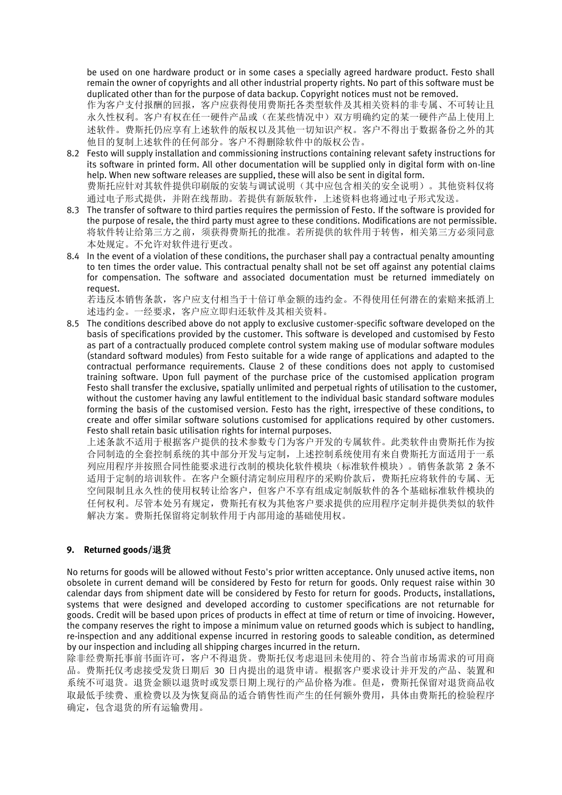be used on one hardware product or in some cases a specially agreed hardware product. Festo shall remain the owner of copyrights and all other industrial property rights. No part of this software must be duplicated other than for the purpose of data backup. Copyright notices must not be removed.

作为客户支付报酬的回报,客户应获得使用费斯托各类型软件及其相关资料的非专属、不可转让且 永久性权利。客户有权在任一硬件产品或(在某些情况中)双方明确约定的某一硬件产品上使用上 述软件。费斯托仍应享有上述软件的版权以及其他一切知识产权。客户不得出于数据备份之外的其 他目的复制上述软件的任何部分。客户不得删除软件中的版权公告。

- 8.2 Festo will supply installation and commissioning instructions containing relevant safety instructions for its software in printed form. All other documentation will be supplied only in digital form with on-line help. When new software releases are supplied, these will also be sent in digital form. 费斯托应针对其软件提供印刷版的安装与调试说明(其中应包含相关的安全说明)。其他资料仅将 通过电子形式提供,并附在线帮助。若提供有新版软件,上述资料也将通过电子形式发送。
- 8.3 The transfer of software to third parties requires the permission of Festo. If the software is provided for the purpose of resale, the third party must agree to these conditions. Modifications are not permissible. 将软件转让给第三方之前,须获得费斯托的批准。若所提供的软件用于转售,相关第三方必须同意 本处规定。不允许对软件进行更改。
- 8.4 In the event of a violation of these conditions, the purchaser shall pay a contractual penalty amounting to ten times the order value. This contractual penalty shall not be set off against any potential claims for compensation. The software and associated documentation must be returned immediately on request.

若违反本销售条款,客户应支付相当于十倍订单金额的违约金。不得使用任何潜在的索赔来抵消上 述违约金。一经要求,客户应立即归还软件及其相关资料。

8.5 The conditions described above do not apply to exclusive customer-specific software developed on the basis of specifications provided by the customer. This software is developed and customised by Festo as part of a contractually produced complete control system making use of modular software modules (standard softward modules) from Festo suitable for a wide range of applications and adapted to the contractual performance requirements. Clause 2 of these conditions does not apply to customised training software. Upon full payment of the purchase price of the customised application program Festo shall transfer the exclusive, spatially unlimited and perpetual rights of utilisation to the customer, without the customer having any lawful entitlement to the individual basic standard software modules forming the basis of the customised version. Festo has the right, irrespective of these conditions, to create and offer similar software solutions customised for applications required by other customers. Festo shall retain basic utilisation rights for internal purposes.

上述条款不适用于根据客户提供的技术参数专门为客户开发的专属软件。此类软件由费斯托作为按 合同制造的全套控制系统的其中部分开发与定制,上述控制系统使用有来自费斯托方面适用于一系 列应用程序并按照合同性能要求进行改制的模块化软件模块(标准软件模块)。销售条款第 2 条不 适用于定制的培训软件。在客户全额付清定制应用程序的采购价款后,费斯托应将软件的专属、无 空间限制且永久性的使用权转让给客户,但客户不享有组成定制版软件的各个基础标准软件模块的 任何权利。尽管本处另有规定,费斯托有权为其他客户要求提供的应用程序定制并提供类似的软件 解决方案。费斯托保留将定制软件用于内部用途的基础使用权。

## **9. Returned goods/**退货

No returns for goods will be allowed without Festo's prior written acceptance. Only unused active items, non obsolete in current demand will be considered by Festo for return for goods. Only request raise within 30 calendar days from shipment date will be considered by Festo for return for goods. Products, installations, systems that were designed and developed according to customer specifications are not returnable for goods. Credit will be based upon prices of products in effect at time of return or time of invoicing. However, the company reserves the right to impose a minimum value on returned goods which is subject to handling, re-inspection and any additional expense incurred in restoring goods to saleable condition, as determined by our inspection and including all shipping charges incurred in the return.

除非经费斯托事前书面许可,客户不得退货。费斯托仅考虑退回未使用的、符合当前市场需求的可用商 品。费斯托仅考虑接受发货日期后 30 日内提出的退货申请。根据客户要求设计并开发的产品、装置和 系统不可退货。退货金额以退货时或发票日期上现行的产品价格为准。但是,费斯托保留对退货商品收 取最低手续费、重检费以及为恢复商品的适合销售性而产生的任何额外费用,具体由费斯托的检验程序 确定,包含退货的所有运输费用。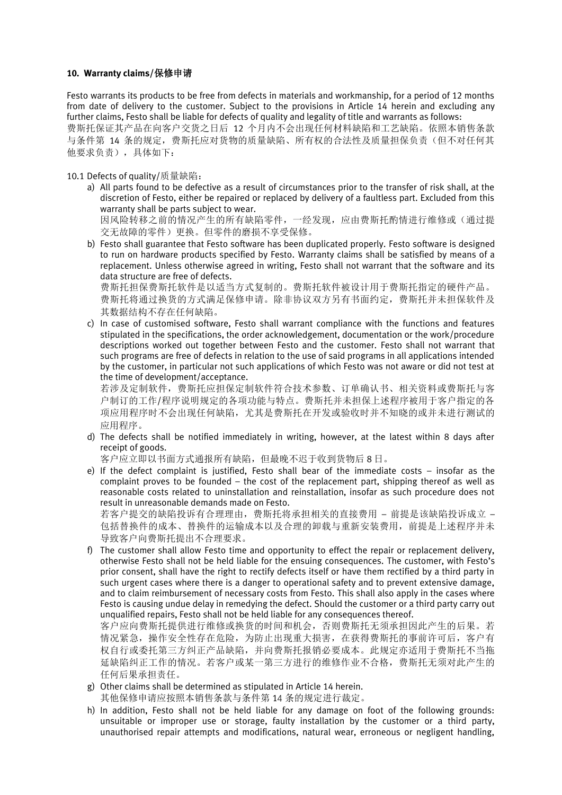#### **10. Warranty claims/**保修申请

Festo warrants its products to be free from defects in materials and workmanship, for a period of 12 months from date of delivery to the customer. Subject to the provisions in Article 14 herein and excluding any further claims, Festo shall be liable for defects of quality and legality of title and warrants as follows: 费斯托保证其产品在向客户交货之日后 12 个月内不会出现任何材料缺陷和工艺缺陷。依照本销售条款 与条件第 14 条的规定,费斯托应对货物的质量缺陷、所有权的合法性及质量担保负责(但不对任何其 他要求负责),具体如下:

10.1 Defects of quality/质量缺陷:

a) All parts found to be defective as a result of circumstances prior to the transfer of risk shall, at the discretion of Festo, either be repaired or replaced by delivery of a faultless part. Excluded from this warranty shall be parts subject to wear.

因风险转移之前的情况产生的所有缺陷零件,一经发现,应由费斯托酌情进行维修或(通过提 交无故障的零件)更换。但零件的磨损不享受保修。

b) Festo shall guarantee that Festo software has been duplicated properly. Festo software is designed to run on hardware products specified by Festo. Warranty claims shall be satisfied by means of a replacement. Unless otherwise agreed in writing, Festo shall not warrant that the software and its data structure are free of defects.

费斯托担保费斯托软件是以适当方式复制的。费斯托软件被设计用于费斯托指定的硬件产品。 费斯托将通过换货的方式满足保修申请。除非协议双方另有书面约定,费斯托并未担保软件及 其数据结构不存在任何缺陷。

c) In case of customised software, Festo shall warrant compliance with the functions and features stipulated in the specifications, the order acknowledgement, documentation or the work/procedure descriptions worked out together between Festo and the customer. Festo shall not warrant that such programs are free of defects in relation to the use of said programs in all applications intended by the customer, in particular not such applications of which Festo was not aware or did not test at the time of development/acceptance.

若涉及定制软件,费斯托应担保定制软件符合技术参数、订单确认书、相关资料或费斯托与客 户制订的工作/程序说明规定的各项功能与特点。费斯托并未担保上述程序被用于客户指定的各 项应用程序时不会出现任何缺陷,尤其是费斯托在开发或验收时并不知晓的或并未进行测试的 应用程序。

d) The defects shall be notified immediately in writing, however, at the latest within 8 days after receipt of goods.

客户应立即以书面方式通报所有缺陷,但最晚不迟于收到货物后 8 日。

e) If the defect complaint is justified, Festo shall bear of the immediate costs – insofar as the complaint proves to be founded – the cost of the replacement part, shipping thereof as well as reasonable costs related to uninstallation and reinstallation, insofar as such procedure does not result in unreasonable demands made on Festo.

若客户提交的缺陷投诉有合理理由,费斯托将承担相关的直接费用 – 前提是该缺陷投诉成立 – 包括替换件的成本、替换件的运输成本以及合理的卸载与重新安装费用,前提是上述程序并未 导致客户向费斯托提出不合理要求。

f) The customer shall allow Festo time and opportunity to effect the repair or replacement delivery, otherwise Festo shall not be held liable for the ensuing consequences. The customer, with Festo's prior consent, shall have the right to rectify defects itself or have them rectified by a third party in such urgent cases where there is a danger to operational safety and to prevent extensive damage, and to claim reimbursement of necessary costs from Festo. This shall also apply in the cases where Festo is causing undue delay in remedying the defect. Should the customer or a third party carry out unqualified repairs, Festo shall not be held liable for any consequences thereof.

客户应向费斯托提供进行维修或换货的时间和机会,否则费斯托无须承担因此产生的后果。若 情况紧急,操作安全性存在危险,为防止出现重大损害,在获得费斯托的事前许可后,客户有 权自行或委托第三方纠正产品缺陷,并向费斯托报销必要成本。此规定亦适用于费斯托不当拖 延缺陷纠正工作的情况。若客户或某一第三方进行的维修作业不合格,费斯托无须对此产生的 任何后果承担责任。

g) Other claims shall be determined as stipulated in Article 14 herein.

其他保修申请应按照本销售条款与条件第 14 条的规定进行裁定。

h) In addition, Festo shall not be held liable for any damage on foot of the following grounds: unsuitable or improper use or storage, faulty installation by the customer or a third party, unauthorised repair attempts and modifications, natural wear, erroneous or negligent handling,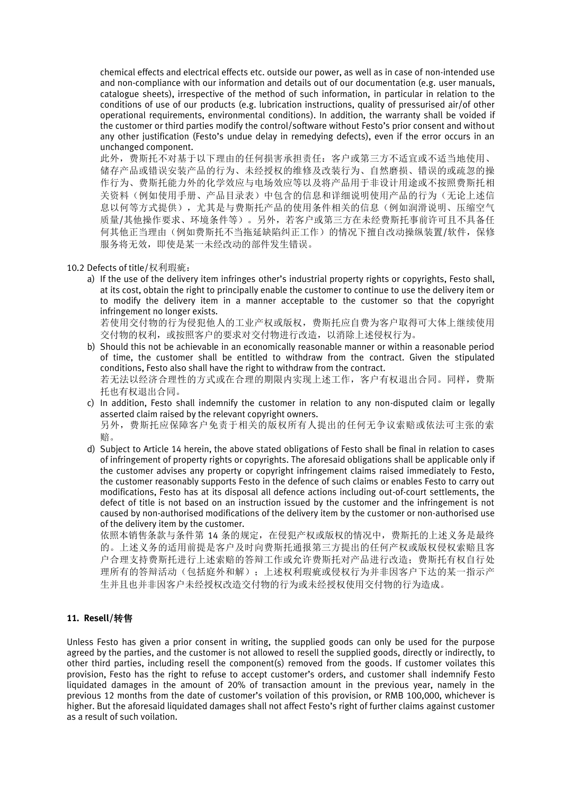chemical effects and electrical effects etc. outside our power, as well as in case of non-intended use and non-compliance with our information and details out of our documentation (e.g. user manuals, catalogue sheets), irrespective of the method of such information, in particular in relation to the conditions of use of our products (e.g. lubrication instructions, quality of pressurised air/of other operational requirements, environmental conditions). In addition, the warranty shall be voided if the customer or third parties modify the control/software without Festo's prior consent and without any other justification (Festo's undue delay in remedying defects), even if the error occurs in an unchanged component.

此外,费斯托不对基于以下理由的任何损害承担责任:客户或第三方不适宜或不适当地使用、 储存产品或错误安装产品的行为、未经授权的维修及改装行为、自然磨损、错误的或疏忽的操 作行为、费斯托能力外的化学效应与电场效应等以及将产品用于非设计用途或不按照费斯托相 关资料(例如使用手册、产品目录表)中包含的信息和详细说明使用产品的行为(无论上述信 息以何等方式提供),尤其是与费斯托产品的使用条件相关的信息(例如润滑说明、压缩空气 质量/其他操作要求、环境条件等)。另外,若客户或第三方在未经费斯托事前许可且不具备任 何其他正当理由(例如费斯托不当拖延缺陷纠正工作)的情况下擅自改动操纵装置/软件,保修 服务将无效,即使是某一未经改动的部件发生错误。

#### 10.2 Defects of title/权利瑕疵:

a) If the use of the delivery item infringes other's industrial property rights or copyrights, Festo shall, at its cost, obtain the right to principally enable the customer to continue to use the delivery item or to modify the delivery item in a manner acceptable to the customer so that the copyright infringement no longer exists.

若使用交付物的行为侵犯他人的工业产权或版权,费斯托应自费为客户取得可大体上继续使用 交付物的权利,或按照客户的要求对交付物进行改造,以消除上述侵权行为。

- b) Should this not be achievable in an economically reasonable manner or within a reasonable period of time, the customer shall be entitled to withdraw from the contract. Given the stipulated conditions, Festo also shall have the right to withdraw from the contract. 若无法以经济合理性的方式或在合理的期限内实现上述工作,客户有权退出合同。同样,费斯 托也有权退出合同。
- c) In addition, Festo shall indemnify the customer in relation to any non-disputed claim or legally asserted claim raised by the relevant copyright owners. 另外,费斯托应保障客户免责于相关的版权所有人提出的任何无争议索赔或依法可主张的索
- 赔。 d) Subject to Article 14 herein, the above stated obligations of Festo shall be final in relation to cases of infringement of property rights or copyrights. The aforesaid obligations shall be applicable only if the customer advises any property or copyright infringement claims raised immediately to Festo, the customer reasonably supports Festo in the defence of such claims or enables Festo to carry out modifications, Festo has at its disposal all defence actions including out-of-court settlements, the defect of title is not based on an instruction issued by the customer and the infringement is not caused by non-authorised modifications of the delivery item by the customer or non-authorised use of the delivery item by the customer.

依照本销售条款与条件第 14 条的规定, 在侵犯产权或版权的情况中, 费斯托的上述义务是最终 的。上述义务的适用前提是客户及时向费斯托通报第三方提出的任何产权或版权侵权索赔且客 户合理支持费斯托进行上述索赔的答辩工作或允许费斯托对产品进行改造;费斯托有权自行处 理所有的答辩活动(包括庭外和解);上述权利瑕疵或侵权行为并非因客户下达的某一指示产 生并且也并非因客户未经授权改造交付物的行为或未经授权使用交付物的行为造成。

# **11. Resell/**转售

Unless Festo has given a prior consent in writing, the supplied goods can only be used for the purpose agreed by the parties, and the customer is not allowed to resell the supplied goods, directly or indirectly, to other third parties, including resell the component(s) removed from the goods. If customer voilates this provision, Festo has the right to refuse to accept customer's orders, and customer shall indemnify Festo liquidated damages in the amount of 20% of transaction amount in the previous year, namely in the previous 12 months from the date of customer's voilation of this provision, or RMB 100,000, whichever is higher. But the aforesaid liquidated damages shall not affect Festo's right of further claims against customer as a result of such voilation.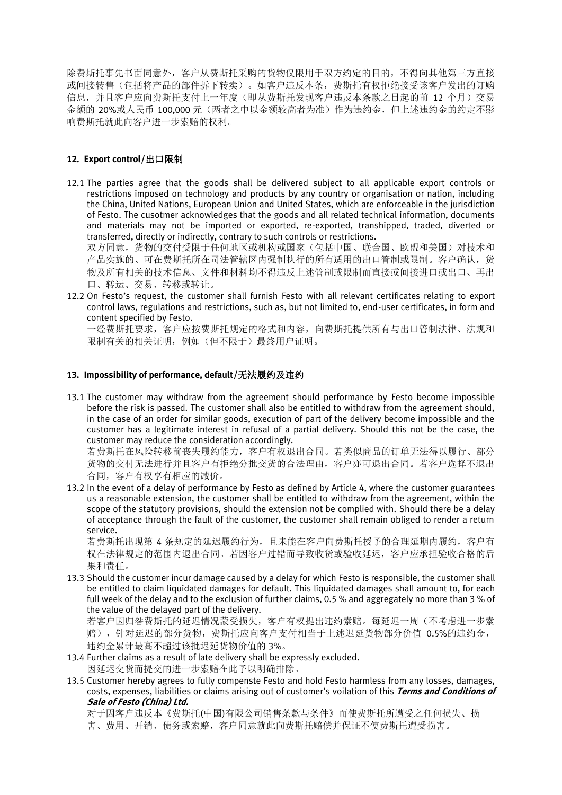除费斯托事先书面同意外,客户从费斯托采购的货物仅限用于双方约定的目的,不得向其他第三方直接 或间接转售(包括将产品的部件拆下转卖)。如客户违反本条,费斯托有权拒绝接受该客户发出的订购 信息,并且客户应向费斯托支付上一年度(即从费斯托发现客户违反本条款之日起的前 12 个月)交易 金额的 20%或人民币 100,000 元(两者之中以金额较高者为准)作为违约金,但上述违约金的约定不影 响费斯托就此向客户进一步索赔的权利。

#### **12. Export control/**出口限制

12.1 The parties agree that the goods shall be delivered subject to all applicable export controls or restrictions imposed on technology and products by any country or organisation or nation, including the China, United Nations, European Union and United States, which are enforceable in the jurisdiction of Festo. The cusotmer acknowledges that the goods and all related technical information, documents and materials may not be imported or exported, re-exported, transhipped, traded, diverted or transferred, directly or indirectly, contrary to such controls or restrictions.

双方同意,货物的交付受限于任何地区或机构或国家(包括中国、联合国、欧盟和美国)对技术和 产品实施的、可在费斯托所在司法管辖区内强制执行的所有适用的出口管制或限制。客户确认,货 物及所有相关的技术信息、文件和材料均不得违反上述管制或限制而直接或间接进口或出口、再出 口、转运、交易、转移或转让。

12.2 On Festo's request, the customer shall furnish Festo with all relevant certificates relating to export control laws, regulations and restrictions, such as, but not limited to, end-user certificates, in form and content specified by Festo.

一经费斯托要求,客户应按费斯托规定的格式和内容,向费斯托提供所有与出口管制法律、法规和 限制有关的相关证明,例如(但不限于)最终用户证明。

#### **13. Impossibility of performance, default/**无法履约及违约

13.1 The customer may withdraw from the agreement should performance by Festo become impossible before the risk is passed. The customer shall also be entitled to withdraw from the agreement should, in the case of an order for similar goods, execution of part of the delivery become impossible and the customer has a legitimate interest in refusal of a partial delivery. Should this not be the case, the customer may reduce the consideration accordingly.

若费斯托在风险转移前丧失履约能力,客户有权退出合同。若类似商品的订单无法得以履行、部分 货物的交付无法进行并且客户有拒绝分批交货的合法理由,客户亦可退出合同。若客户选择不退出 合同,客户有权享有相应的减价。

13.2 In the event of a delay of performance by Festo as defined by Article 4, where the customer guarantees us a reasonable extension, the customer shall be entitled to withdraw from the agreement, within the scope of the statutory provisions, should the extension not be complied with. Should there be a delay of acceptance through the fault of the customer, the customer shall remain obliged to render a return service.

若费斯托出现第 4 条规定的延迟履约行为,且未能在客户向费斯托授予的合理延期内履约,客户有 权在法律规定的范围内退出合同。若因客户过错而导致收货或验收延迟,客户应承担验收合格的后 果和责任。

13.3 Should the customer incur damage caused by a delay for which Festo is responsible, the customer shall be entitled to claim liquidated damages for default. This liquidated damages shall amount to, for each full week of the delay and to the exclusion of further claims, 0.5 % and aggregately no more than 3 % of the value of the delayed part of the delivery.

若客户因归咎费斯托的延迟情况蒙受损失,客户有权提出违约索赔。每延迟一周(不考虑进一步索 赔),针对延迟的部分货物,费斯托应向客户支付相当于上述迟延货物部分价值 0.5%的违约金, 违约金累计最高不超过该批迟延货物价值的 3%。

- 13.4 Further claims as a result of late delivery shall be expressly excluded. 因延迟交货而提交的进一步索赔在此予以明确排除。
- 13.5 Customer hereby agrees to fully compenste Festo and hold Festo harmless from any losses, damages, costs, expenses, liabilities or claims arising out of customer's voilation of this **Terms and Conditions of Sale of Festo (China) Ltd.**

对于因客户违反本《费斯托(中国)有限公司销售条款与条件》而使费斯托所遭受之任何损失、损 害、费用、开销、债务或索赔,客户同意就此向费斯托赔偿并保证不使费斯托遭受损害。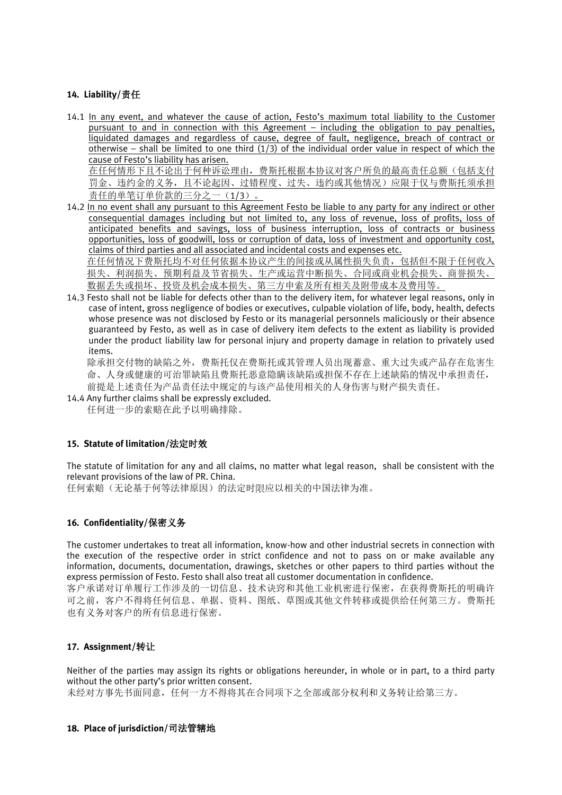# **14. Liability/**责任

14.1 In any event, and whatever the cause of action, Festo's maximum total liability to the Customer pursuant to and in connection with this Agreement - including the obligation to pay penalties, liquidated damages and regardless of cause, degree of fault, negligence, breach of contract or otherwise – shall be limited to one third  $(1/3)$  of the individual order value in respect of which the cause of Festo's liability has arisen.

在任何情形下且不论出于何种诉讼理由,费斯托根据本协议对客户所负的最高责任总额(包括支付 罚金、违约金的义务,且不论起因、过错程度、过失、违约或其他情况)应限于仅与费斯托须承担 责任的单笔订单价款的三分之一(1/3)。

14.2 In no event shall any pursuant to this Agreement Festo be liable to any party for any indirect or other consequential damages including but not limited to, any loss of revenue, loss of profits, loss of anticipated benefits and savings, loss of business interruption, loss of contracts or business opportunities, loss of goodwill, loss or corruption of data, loss of investment and opportunity cost, claims of third parties and all associated and incidental costs and expenses etc. 在任何情况下费斯托均不对任何依据本协议产生的间接或从属性损失负责,包括但不限于任何收入

损失、利润损失、预期利益及节省损失、生产或运营中断损失、合同或商业机会损失、商誉损失、 数据丢失或损坏、投资及机会成本损失、第三方申索及所有相关及附带成本及费用等。

14.3 Festo shall not be liable for defects other than to the delivery item, for whatever legal reasons, only in case of intent, gross negligence of bodies or executives, culpable violation of life, body, health, defects whose presence was not disclosed by Festo or its managerial personnels maliciously or their absence guaranteed by Festo, as well as in case of delivery item defects to the extent as liability is provided under the product liability law for personal injury and property damage in relation to privately used items.

除承担交付物的缺陷之外,费斯托仅在费斯托或其管理人员出现蓄意、重大过失或产品存在危害生 命、人身或健康的可治罪缺陷且费斯托恶意隐瞒该缺陷或担保不存在上述缺陷的情况中承担责任, 前提是上述责任为产品责任法中规定的与该产品使用相关的人身伤害与财产损失责任。

14.4 Any further claims shall be expressly excluded.

任何进一步的索赔在此予以明确排除。

## **15. Statute of limitation/**法定时效

The statute of limitation for any and all claims, no matter what legal reason, shall be consistent with the relevant provisions of the law of PR. China.

任何索赔(无论基于何等法律原因)的法定时限应以相关的中国法律为准。

## **16. Confidentiality/**保密义务

The customer undertakes to treat all information, know-how and other industrial secrets in connection with the execution of the respective order in strict confidence and not to pass on or make available any information, documents, documentation, drawings, sketches or other papers to third parties without the express permission of Festo. Festo shall also treat all customer documentation in confidence.

客户承诺对订单履行工作涉及的一切信息、技术诀窍和其他工业机密进行保密,在获得费斯托的明确许 可之前,客户不得将任何信息、单据、资料、图纸、草图或其他文件转移或提供给任何第三方。费斯托 也有义务对客户的所有信息进行保密。

# **17. Assignment/**转让

Neither of the parties may assign its rights or obligations hereunder, in whole or in part, to a third party without the other party's prior written consent. 未经对方事先书面同意,任何一方不得将其在合同项下之全部或部分权利和义务转让给第三方。

# **18. Place of jurisdiction/**司法管辖地